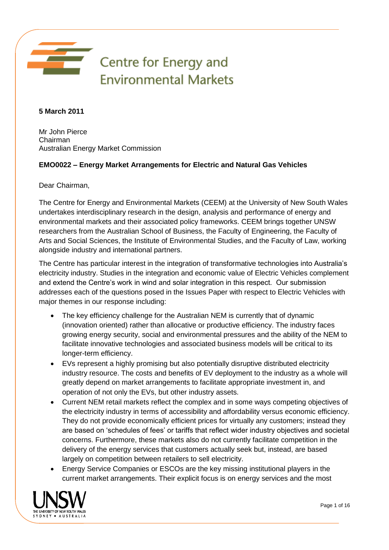

**5 March 2011** 

Mr John Pierce Chairman Australian Energy Market Commission

# **EMO0022 – Energy Market Arrangements for Electric and Natural Gas Vehicles**

Dear Chairman,

The Centre for Energy and Environmental Markets (CEEM) at the University of New South Wales undertakes interdisciplinary research in the design, analysis and performance of energy and environmental markets and their associated policy frameworks. CEEM brings together UNSW researchers from the Australian School of Business, the Faculty of Engineering, the Faculty of Arts and Social Sciences, the Institute of Environmental Studies, and the Faculty of Law, working alongside industry and international partners.

The Centre has particular interest in the integration of transformative technologies into Australia's electricity industry. Studies in the integration and economic value of Electric Vehicles complement and extend the Centre's work in wind and solar integration in this respect. Our submission addresses each of the questions posed in the Issues Paper with respect to Electric Vehicles with major themes in our response including:

- The key efficiency challenge for the Australian NEM is currently that of dynamic (innovation oriented) rather than allocative or productive efficiency. The industry faces growing energy security, social and environmental pressures and the ability of the NEM to facilitate innovative technologies and associated business models will be critical to its longer-term efficiency.
- EVs represent a highly promising but also potentially disruptive distributed electricity industry resource. The costs and benefits of EV deployment to the industry as a whole will greatly depend on market arrangements to facilitate appropriate investment in, and operation of not only the EVs, but other industry assets.
- Current NEM retail markets reflect the complex and in some ways competing objectives of the electricity industry in terms of accessibility and affordability versus economic efficiency. They do not provide economically efficient prices for virtually any customers; instead they are based on 'schedules of fees' or tariffs that reflect wider industry objectives and societal concerns. Furthermore, these markets also do not currently facilitate competition in the delivery of the energy services that customers actually seek but, instead, are based largely on competition between retailers to sell electricity.
- Energy Service Companies or ESCOs are the key missing institutional players in the current market arrangements. Their explicit focus is on energy services and the most

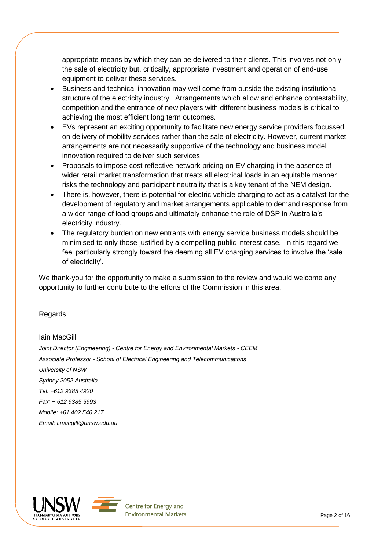appropriate means by which they can be delivered to their clients. This involves not only the sale of electricity but, critically, appropriate investment and operation of end-use equipment to deliver these services.

- Business and technical innovation may well come from outside the existing institutional structure of the electricity industry. Arrangements which allow and enhance contestability, competition and the entrance of new players with different business models is critical to achieving the most efficient long term outcomes.
- EVs represent an exciting opportunity to facilitate new energy service providers focussed on delivery of mobility services rather than the sale of electricity. However, current market arrangements are not necessarily supportive of the technology and business model innovation required to deliver such services.
- Proposals to impose cost reflective network pricing on EV charging in the absence of wider retail market transformation that treats all electrical loads in an equitable manner risks the technology and participant neutrality that is a key tenant of the NEM design.
- There is, however, there is potential for electric vehicle charging to act as a catalyst for the development of regulatory and market arrangements applicable to demand response from a wider range of load groups and ultimately enhance the role of DSP in Australia's electricity industry.
- The regulatory burden on new entrants with energy service business models should be minimised to only those justified by a compelling public interest case. In this regard we feel particularly strongly toward the deeming all EV charging services to involve the 'sale of electricity'.

We thank-you for the opportunity to make a submission to the review and would welcome any opportunity to further contribute to the efforts of the Commission in this area.

## Regards

## Iain MacGill

*Joint Director (Engineering) - Centre for Energy and Environmental Markets - CEEM Associate Professor - School of Electrical Engineering and Telecommunications University of NSW Sydney 2052 Australia Tel: +612 9385 4920 Fax: + 612 9385 5993 Mobile: +61 402 546 217 Email: [i.macgill@unsw.edu.au](mailto:i.macgill@unsw.edu.au)*



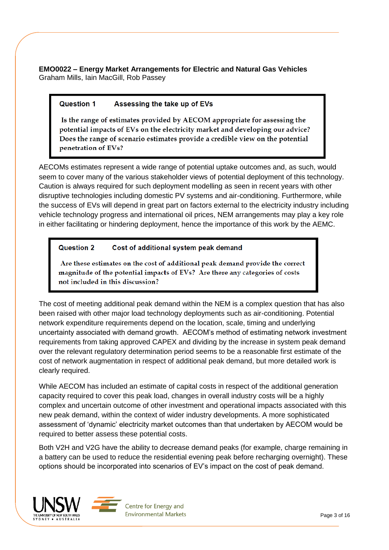**EMO0022 – Energy Market Arrangements for Electric and Natural Gas Vehicles** Graham Mills, Iain MacGill, Rob Passey

#### **Question 1** Assessing the take up of EVs

Is the range of estimates provided by AECOM appropriate for assessing the potential impacts of EVs on the electricity market and developing our advice? Does the range of scenario estimates provide a credible view on the potential penetration of EVs?

AECOMs estimates represent a wide range of potential uptake outcomes and, as such, would seem to cover many of the various stakeholder views of potential deployment of this technology. Caution is always required for such deployment modelling as seen in recent years with other disruptive technologies including domestic PV systems and air-conditioning. Furthermore, while the success of EVs will depend in great part on factors external to the electricity industry including vehicle technology progress and international oil prices, NEM arrangements may play a key role in either facilitating or hindering deployment, hence the importance of this work by the AEMC.

#### Question 2 Cost of additional system peak demand

Are these estimates on the cost of additional peak demand provide the correct magnitude of the potential impacts of EVs? Are there any categories of costs not included in this discussion?

The cost of meeting additional peak demand within the NEM is a complex question that has also been raised with other major load technology deployments such as air-conditioning. Potential network expenditure requirements depend on the location, scale, timing and underlying uncertainty associated with demand growth. AECOM's method of estimating network investment requirements from taking approved CAPEX and dividing by the increase in system peak demand over the relevant regulatory determination period seems to be a reasonable first estimate of the cost of network augmentation in respect of additional peak demand, but more detailed work is clearly required.

While AECOM has included an estimate of capital costs in respect of the additional generation capacity required to cover this peak load, changes in overall industry costs will be a highly complex and uncertain outcome of other investment and operational impacts associated with this new peak demand, within the context of wider industry developments. A more sophisticated assessment of 'dynamic' electricity market outcomes than that undertaken by AECOM would be required to better assess these potential costs.

Both V2H and V2G have the ability to decrease demand peaks (for example, charge remaining in a battery can be used to reduce the residential evening peak before recharging overnight). These options should be incorporated into scenarios of EV's impact on the cost of peak demand.



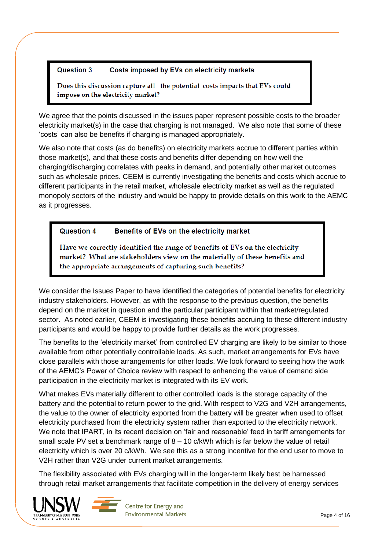#### Question 3 Costs imposed by EVs on electricity markets

Does this discussion capture all the potential costs impacts that EVs could impose on the electricity market?

We agree that the points discussed in the issues paper represent possible costs to the broader electricity market(s) in the case that charging is not managed. We also note that some of these 'costs' can also be benefits if charging is managed appropriately.

We also note that costs (as do benefits) on electricity markets accrue to different parties within those market(s), and that these costs and benefits differ depending on how well the charging/discharging correlates with peaks in demand, and potentially other market outcomes such as wholesale prices. CEEM is currently investigating the benefits and costs which accrue to different participants in the retail market, wholesale electricity market as well as the regulated monopoly sectors of the industry and would be happy to provide details on this work to the AEMC as it progresses.

#### **Question 4** Benefits of EVs on the electricity market

Have we correctly identified the range of benefits of EVs on the electricity market? What are stakeholders view on the materially of these benefits and the appropriate arrangements of capturing such benefits?

We consider the Issues Paper to have identified the categories of potential benefits for electricity industry stakeholders. However, as with the response to the previous question, the benefits depend on the market in question and the particular participant within that market/regulated sector. As noted earlier, CEEM is investigating these benefits accruing to these different industry participants and would be happy to provide further details as the work progresses.

The benefits to the 'electricity market' from controlled EV charging are likely to be similar to those available from other potentially controllable loads. As such, market arrangements for EVs have close parallels with those arrangements for other loads. We look forward to seeing how the work of the AEMC's Power of Choice review with respect to enhancing the value of demand side participation in the electricity market is integrated with its EV work.

What makes EVs materially different to other controlled loads is the storage capacity of the battery and the potential to return power to the grid. With respect to V2G and V2H arrangements, the value to the owner of electricity exported from the battery will be greater when used to offset electricity purchased from the electricity system rather than exported to the electricity network. We note that IPART, in its recent decision on 'fair and reasonable' feed in tariff arrangements for small scale PV set a benchmark range of  $8 - 10$  c/kWh which is far below the value of retail electricity which is over 20 c/kWh. We see this as a strong incentive for the end user to move to V2H rather than V2G under current market arrangements.

The flexibility associated with EVs charging will in the longer-term likely best be harnessed through retail market arrangements that facilitate competition in the delivery of energy services



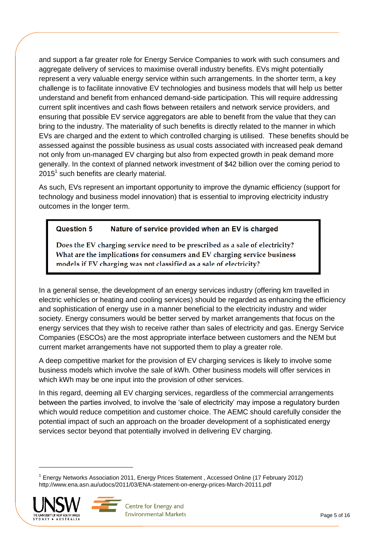and support a far greater role for Energy Service Companies to work with such consumers and aggregate delivery of services to maximise overall industry benefits. EVs might potentially represent a very valuable energy service within such arrangements. In the shorter term, a key challenge is to facilitate innovative EV technologies and business models that will help us better understand and benefit from enhanced demand-side participation. This will require addressing current split incentives and cash flows between retailers and network service providers, and ensuring that possible EV service aggregators are able to benefit from the value that they can bring to the industry. The materiality of such benefits is directly related to the manner in which EVs are charged and the extent to which controlled charging is utilised. These benefits should be assessed against the possible business as usual costs associated with increased peak demand not only from un-managed EV charging but also from expected growth in peak demand more generally. In the context of planned network investment of \$42 billion over the coming period to  $2015<sup>1</sup>$  such benefits are clearly material.

As such, EVs represent an important opportunity to improve the dynamic efficiency (support for technology and business model innovation) that is essential to improving electricity industry outcomes in the longer term.

#### Question 5 Nature of service provided when an EV is charged

Does the EV charging service need to be prescribed as a sale of electricity? What are the implications for consumers and EV charging service business models if EV charging was not classified as a sale of electricity?

In a general sense, the development of an energy services industry (offering km travelled in electric vehicles or heating and cooling services) should be regarded as enhancing the efficiency and sophistication of energy use in a manner beneficial to the electricity industry and wider society. Energy consumers would be better served by market arrangements that focus on the energy services that they wish to receive rather than sales of electricity and gas. Energy Service Companies (ESCOs) are the most appropriate interface between customers and the NEM but current market arrangements have not supported them to play a greater role.

A deep competitive market for the provision of EV charging services is likely to involve some business models which involve the sale of kWh. Other business models will offer services in which kWh may be one input into the provision of other services.

In this regard, deeming all EV charging services, regardless of the commercial arrangements between the parties involved, to involve the 'sale of electricity' may impose a regulatory burden which would reduce competition and customer choice. The AEMC should carefully consider the potential impact of such an approach on the broader development of a sophisticated energy services sector beyond that potentially involved in delivering EV charging.

<sup>&</sup>lt;sup>1</sup> Energy Networks Association 2011, Energy Prices Statement, Accessed Online (17 February 2012) http://www.ena.asn.au/udocs/2011/03/ENA-statement-on-energy-prices-March-20111.pdf



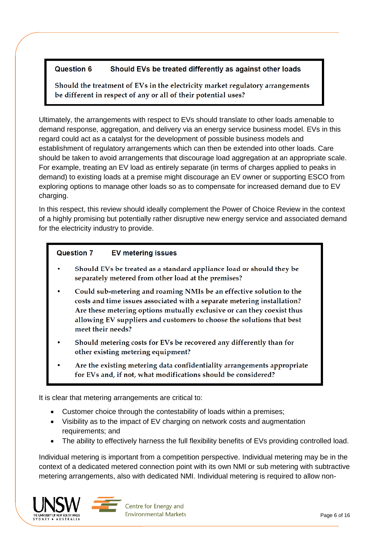#### **Question 6** Should EVs be treated differently as against other loads

Should the treatment of EVs in the electricity market regulatory arrangements be different in respect of any or all of their potential uses?

Ultimately, the arrangements with respect to EVs should translate to other loads amenable to demand response, aggregation, and delivery via an energy service business model. EVs in this regard could act as a catalyst for the development of possible business models and establishment of regulatory arrangements which can then be extended into other loads. Care should be taken to avoid arrangements that discourage load aggregation at an appropriate scale. For example, treating an EV load as entirely separate (in terms of charges applied to peaks in demand) to existing loads at a premise might discourage an EV owner or supporting ESCO from exploring options to manage other loads so as to compensate for increased demand due to EV charging.

In this respect, this review should ideally complement the Power of Choice Review in the context of a highly promising but potentially rather disruptive new energy service and associated demand for the electricity industry to provide.

#### **Question 7 EV metering issues**

- Should EVs be treated as a standard appliance load or should they be separately metered from other load at the premises?
- Could sub-metering and roaming NMIs be an effective solution to the costs and time issues associated with a separate metering installation? Are these metering options mutually exclusive or can they coexist thus allowing EV suppliers and customers to choose the solutions that best meet their needs?
- Should metering costs for EVs be recovered any differently than for other existing metering equipment?
- Are the existing metering data confidentiality arrangements appropriate for EVs and, if not, what modifications should be considered?

It is clear that metering arrangements are critical to:

- Customer choice through the contestability of loads within a premises;
- Visibility as to the impact of EV charging on network costs and augmentation requirements; and
- The ability to effectively harness the full flexibility benefits of EVs providing controlled load.

Individual metering is important from a competition perspective. Individual metering may be in the context of a dedicated metered connection point with its own NMI or sub metering with subtractive metering arrangements, also with dedicated NMI. Individual metering is required to allow non-



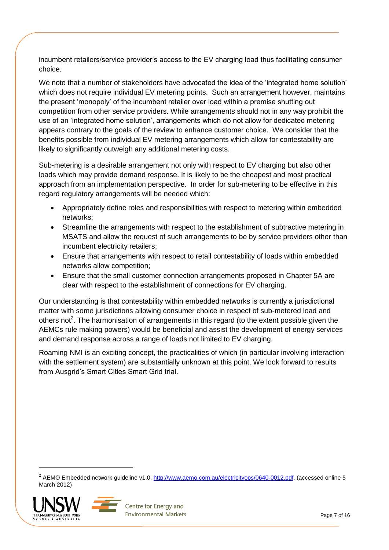incumbent retailers/service provider's access to the EV charging load thus facilitating consumer choice.

We note that a number of stakeholders have advocated the idea of the 'integrated home solution' which does not require individual EV metering points. Such an arrangement however, maintains the present 'monopoly' of the incumbent retailer over load within a premise shutting out competition from other service providers. While arrangements should not in any way prohibit the use of an 'integrated home solution', arrangements which do not allow for dedicated metering appears contrary to the goals of the review to enhance customer choice. We consider that the benefits possible from individual EV metering arrangements which allow for contestability are likely to significantly outweigh any additional metering costs.

Sub-metering is a desirable arrangement not only with respect to EV charging but also other loads which may provide demand response. It is likely to be the cheapest and most practical approach from an implementation perspective. In order for sub-metering to be effective in this regard regulatory arrangements will be needed which:

- Appropriately define roles and responsibilities with respect to metering within embedded networks;
- Streamline the arrangements with respect to the establishment of subtractive metering in MSATS and allow the request of such arrangements to be by service providers other than incumbent electricity retailers;
- Ensure that arrangements with respect to retail contestability of loads within embedded networks allow competition;
- Ensure that the small customer connection arrangements proposed in Chapter 5A are clear with respect to the establishment of connections for EV charging.

Our understanding is that contestability within embedded networks is currently a jurisdictional matter with some jurisdictions allowing consumer choice in respect of sub-metered load and others not<sup>2</sup>. The harmonisation of arrangements in this regard (to the extent possible given the AEMCs rule making powers) would be beneficial and assist the development of energy services and demand response across a range of loads not limited to EV charging.

Roaming NMI is an exciting concept, the practicalities of which (in particular involving interaction with the settlement system) are substantially unknown at this point. We look forward to results from Ausgrid's Smart Cities Smart Grid trial.

<sup>&</sup>lt;sup>2</sup> AEMO Embedded network guideline v1.0, [http://www.aemo.com.au/electricityops/0640-0012.pdf,](http://www.aemo.com.au/electricityops/0640-0012.pdf) (accessed online 5 March 2012)



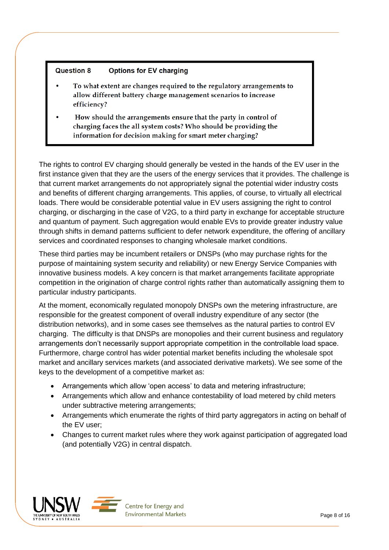#### **Question 8 Options for EV charging**

- To what extent are changes required to the regulatory arrangements to allow different battery charge management scenarios to increase efficiency?
- How should the arrangements ensure that the party in control of charging faces the all system costs? Who should be providing the information for decision making for smart meter charging?

The rights to control EV charging should generally be vested in the hands of the EV user in the first instance given that they are the users of the energy services that it provides. The challenge is that current market arrangements do not appropriately signal the potential wider industry costs and benefits of different charging arrangements. This applies, of course, to virtually all electrical loads. There would be considerable potential value in EV users assigning the right to control charging, or discharging in the case of V2G, to a third party in exchange for acceptable structure and quantum of payment. Such aggregation would enable EVs to provide greater industry value through shifts in demand patterns sufficient to defer network expenditure, the offering of ancillary services and coordinated responses to changing wholesale market conditions.

These third parties may be incumbent retailers or DNSPs (who may purchase rights for the purpose of maintaining system security and reliability) or new Energy Service Companies with innovative business models. A key concern is that market arrangements facilitate appropriate competition in the origination of charge control rights rather than automatically assigning them to particular industry participants.

At the moment, economically regulated monopoly DNSPs own the metering infrastructure, are responsible for the greatest component of overall industry expenditure of any sector (the distribution networks), and in some cases see themselves as the natural parties to control EV charging. The difficulty is that DNSPs are monopolies and their current business and regulatory arrangements don't necessarily support appropriate competition in the controllable load space. Furthermore, charge control has wider potential market benefits including the wholesale spot market and ancillary services markets (and associated derivative markets). We see some of the keys to the development of a competitive market as:

- Arrangements which allow 'open access' to data and metering infrastructure;
- Arrangements which allow and enhance contestability of load metered by child meters under subtractive metering arrangements;
- Arrangements which enumerate the rights of third party aggregators in acting on behalf of the EV user;
- Changes to current market rules where they work against participation of aggregated load (and potentially V2G) in central dispatch.



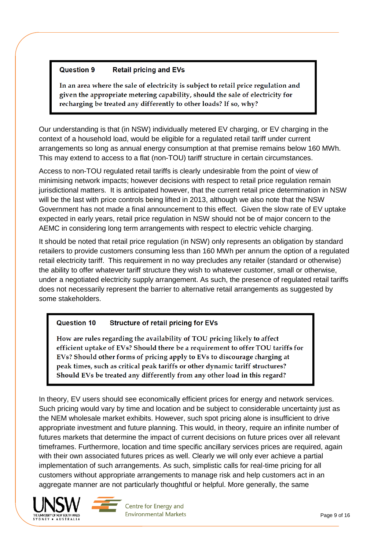#### **Question 9 Retail pricing and EVs**

In an area where the sale of electricity is subject to retail price regulation and given the appropriate metering capability, should the sale of electricity for recharging be treated any differently to other loads? If so, why?

Our understanding is that (in NSW) individually metered EV charging, or EV charging in the context of a household load, would be eligible for a regulated retail tariff under current arrangements so long as annual energy consumption at that premise remains below 160 MWh. This may extend to access to a flat (non-TOU) tariff structure in certain circumstances.

Access to non-TOU regulated retail tariffs is clearly undesirable from the point of view of minimising network impacts; however decisions with respect to retail price regulation remain jurisdictional matters. It is anticipated however, that the current retail price determination in NSW will be the last with price controls being lifted in 2013, although we also note that the NSW Government has not made a final announcement to this effect. Given the slow rate of EV uptake expected in early years, retail price regulation in NSW should not be of major concern to the AEMC in considering long term arrangements with respect to electric vehicle charging.

It should be noted that retail price regulation (in NSW) only represents an obligation by standard retailers to provide customers consuming less than 160 MWh per annum the option of a regulated retail electricity tariff. This requirement in no way precludes any retailer (standard or otherwise) the ability to offer whatever tariff structure they wish to whatever customer, small or otherwise, under a negotiated electricity supply arrangement. As such, the presence of regulated retail tariffs does not necessarily represent the barrier to alternative retail arrangements as suggested by some stakeholders.

#### **Question 10 Structure of retail pricing for EVs**

How are rules regarding the availability of TOU pricing likely to affect efficient uptake of EVs? Should there be a requirement to offer TOU tariffs for EVs? Should other forms of pricing apply to EVs to discourage charging at peak times, such as critical peak tariffs or other dynamic tariff structures? Should EVs be treated any differently from any other load in this regard?

In theory, EV users should see economically efficient prices for energy and network services. Such pricing would vary by time and location and be subject to considerable uncertainty just as the NEM wholesale market exhibits. However, such spot pricing alone is insufficient to drive appropriate investment and future planning. This would, in theory, require an infinite number of futures markets that determine the impact of current decisions on future prices over all relevant timeframes. Furthermore, location and time specific ancillary services prices are required, again with their own associated futures prices as well. Clearly we will only ever achieve a partial implementation of such arrangements. As such, simplistic calls for real-time pricing for all customers without appropriate arrangements to manage risk and help customers act in an aggregate manner are not particularly thoughtful or helpful. More generally, the same



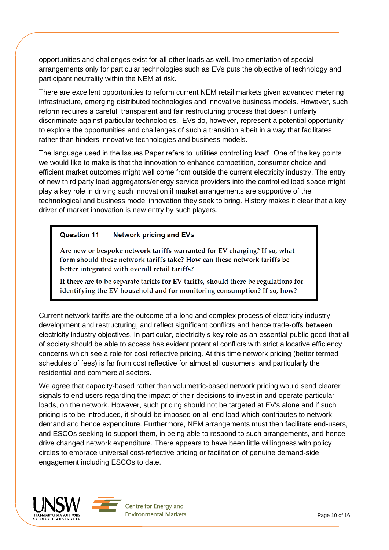opportunities and challenges exist for all other loads as well. Implementation of special arrangements only for particular technologies such as EVs puts the objective of technology and participant neutrality within the NEM at risk.

There are excellent opportunities to reform current NEM retail markets given advanced metering infrastructure, emerging distributed technologies and innovative business models. However, such reform requires a careful, transparent and fair restructuring process that doesn't unfairly discriminate against particular technologies. EVs do, however, represent a potential opportunity to explore the opportunities and challenges of such a transition albeit in a way that facilitates rather than hinders innovative technologies and business models.

The language used in the Issues Paper refers to 'utilities controlling load'. One of the key points we would like to make is that the innovation to enhance competition, consumer choice and efficient market outcomes might well come from outside the current electricity industry. The entry of new third party load aggregators/energy service providers into the controlled load space might play a key role in driving such innovation if market arrangements are supportive of the technological and business model innovation they seek to bring. History makes it clear that a key driver of market innovation is new entry by such players.

#### Question 11 **Network pricing and EVs**

Are new or bespoke network tariffs warranted for EV charging? If so, what form should these network tariffs take? How can these network tariffs be better integrated with overall retail tariffs?

If there are to be separate tariffs for EV tariffs, should there be regulations for identifying the EV household and for monitoring consumption? If so, how?

Current network tariffs are the outcome of a long and complex process of electricity industry development and restructuring, and reflect significant conflicts and hence trade-offs between electricity industry objectives. In particular, electricity's key role as an essential public good that all of society should be able to access has evident potential conflicts with strict allocative efficiency concerns which see a role for cost reflective pricing. At this time network pricing (better termed schedules of fees) is far from cost reflective for almost all customers, and particularly the residential and commercial sectors.

We agree that capacity-based rather than volumetric-based network pricing would send clearer signals to end users regarding the impact of their decisions to invest in and operate particular loads, on the network. However, such pricing should not be targeted at EV's alone and if such pricing is to be introduced, it should be imposed on all end load which contributes to network demand and hence expenditure. Furthermore, NEM arrangements must then facilitate end-users, and ESCOs seeking to support them, in being able to respond to such arrangements, and hence drive changed network expenditure. There appears to have been little willingness with policy circles to embrace universal cost-reflective pricing or facilitation of genuine demand-side engagement including ESCOs to date.



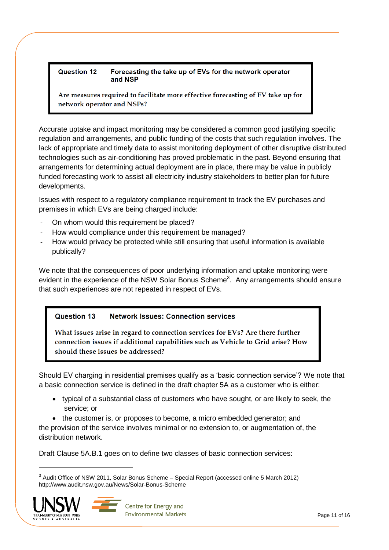### Question 12 Forecasting the take up of EVs for the network operator and NSP

Are measures required to facilitate more effective forecasting of EV take up for network operator and NSPs?

Accurate uptake and impact monitoring may be considered a common good justifying specific regulation and arrangements, and public funding of the costs that such regulation involves. The lack of appropriate and timely data to assist monitoring deployment of other disruptive distributed technologies such as air-conditioning has proved problematic in the past. Beyond ensuring that arrangements for determining actual deployment are in place, there may be value in publicly funded forecasting work to assist all electricity industry stakeholders to better plan for future developments.

Issues with respect to a regulatory compliance requirement to track the EV purchases and premises in which EVs are being charged include:

- On whom would this requirement be placed?
- How would compliance under this requirement be managed?
- How would privacy be protected while still ensuring that useful information is available publically?

We note that the consequences of poor underlying information and uptake monitoring were evident in the experience of the NSW Solar Bonus Scheme<sup>3</sup>. Any arrangements should ensure that such experiences are not repeated in respect of EVs.

#### **Question 13 Network Issues: Connection services**

What issues arise in regard to connection services for EVs? Are there further connection issues if additional capabilities such as Vehicle to Grid arise? How should these issues be addressed?

Should EV charging in residential premises qualify as a 'basic connection service'? We note that a basic connection service is defined in the draft chapter 5A as a customer who is either:

- typical of a substantial class of customers who have sought, or are likely to seek, the service; or
- the customer is, or proposes to become, a micro embedded generator; and

the provision of the service involves minimal or no extension to, or augmentation of, the distribution network.

Draft Clause 5A.B.1 goes on to define two classes of basic connection services:

 $3$  Audit Office of NSW 2011, Solar Bonus Scheme – Special Report (accessed online 5 March 2012) http://www.audit.nsw.gov.au/News/Solar-Bonus-Scheme



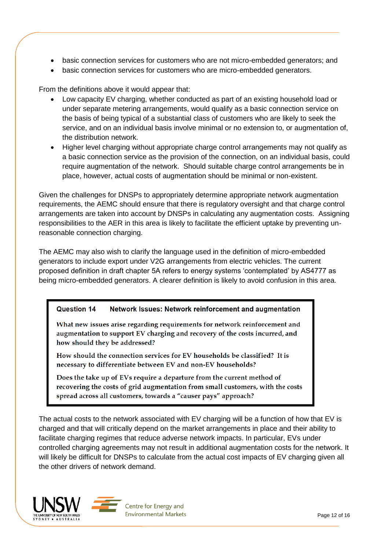- basic connection services for customers who are not micro-embedded generators; and
- basic connection services for customers who are micro-embedded generators.

From the definitions above it would appear that:

- Low capacity EV charging, whether conducted as part of an existing household load or under separate metering arrangements, would qualify as a basic connection service on the basis of being typical of a substantial class of customers who are likely to seek the service, and on an individual basis involve minimal or no extension to, or augmentation of, the distribution network.
- Higher level charging without appropriate charge control arrangements may not qualify as a basic connection service as the provision of the connection, on an individual basis, could require augmentation of the network. Should suitable charge control arrangements be in place, however, actual costs of augmentation should be minimal or non-existent.

Given the challenges for DNSPs to appropriately determine appropriate network augmentation requirements, the AEMC should ensure that there is regulatory oversight and that charge control arrangements are taken into account by DNSPs in calculating any augmentation costs. Assigning responsibilities to the AER in this area is likely to facilitate the efficient uptake by preventing unreasonable connection charging.

The AEMC may also wish to clarify the language used in the definition of micro-embedded generators to include export under V2G arrangements from electric vehicles. The current proposed definition in draft chapter 5A refers to energy systems 'contemplated' by AS4777 as being micro-embedded generators. A clearer definition is likely to avoid confusion in this area.

#### Question 14 Network Issues: Network reinforcement and augmentation

What new issues arise regarding requirements for network reinforcement and augmentation to support EV charging and recovery of the costs incurred, and how should they be addressed?

How should the connection services for EV households be classified? It is necessary to differentiate between EV and non-EV households?

Does the take up of EVs require a departure from the current method of recovering the costs of grid augmentation from small customers, with the costs spread across all customers, towards a "causer pays" approach?

The actual costs to the network associated with EV charging will be a function of how that EV is charged and that will critically depend on the market arrangements in place and their ability to facilitate charging regimes that reduce adverse network impacts. In particular, EVs under controlled charging agreements may not result in additional augmentation costs for the network. It will likely be difficult for DNSPs to calculate from the actual cost impacts of EV charging given all the other drivers of network demand.



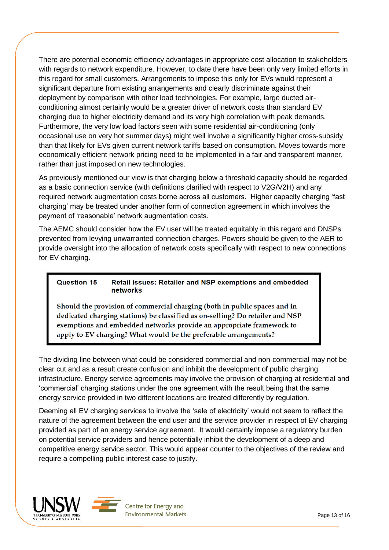There are potential economic efficiency advantages in appropriate cost allocation to stakeholders with regards to network expenditure. However, to date there have been only very limited efforts in this regard for small customers. Arrangements to impose this only for EVs would represent a significant departure from existing arrangements and clearly discriminate against their deployment by comparison with other load technologies. For example, large ducted airconditioning almost certainly would be a greater driver of network costs than standard EV charging due to higher electricity demand and its very high correlation with peak demands. Furthermore, the very low load factors seen with some residential air-conditioning (only occasional use on very hot summer days) might well involve a significantly higher cross-subsidy than that likely for EVs given current network tariffs based on consumption. Moves towards more economically efficient network pricing need to be implemented in a fair and transparent manner, rather than just imposed on new technologies.

As previously mentioned our view is that charging below a threshold capacity should be regarded as a basic connection service (with definitions clarified with respect to V2G/V2H) and any required network augmentation costs borne across all customers. Higher capacity charging 'fast charging' may be treated under another form of connection agreement in which involves the payment of 'reasonable' network augmentation costs.

The AEMC should consider how the EV user will be treated equitably in this regard and DNSPs prevented from levying unwarranted connection charges. Powers should be given to the AER to provide oversight into the allocation of network costs specifically with respect to new connections for EV charging.

### Question 15 Retail issues: Retailer and NSP exemptions and embedded networks

Should the provision of commercial charging (both in public spaces and in dedicated charging stations) be classified as on-selling? Do retailer and NSP exemptions and embedded networks provide an appropriate framework to apply to EV charging? What would be the preferable arrangements?

The dividing line between what could be considered commercial and non-commercial may not be clear cut and as a result create confusion and inhibit the development of public charging infrastructure. Energy service agreements may involve the provision of charging at residential and 'commercial' charging stations under the one agreement with the result being that the same energy service provided in two different locations are treated differently by regulation.

Deeming all EV charging services to involve the 'sale of electricity' would not seem to reflect the nature of the agreement between the end user and the service provider in respect of EV charging provided as part of an energy service agreement. It would certainly impose a regulatory burden on potential service providers and hence potentially inhibit the development of a deep and competitive energy service sector. This would appear counter to the objectives of the review and require a compelling public interest case to justify.



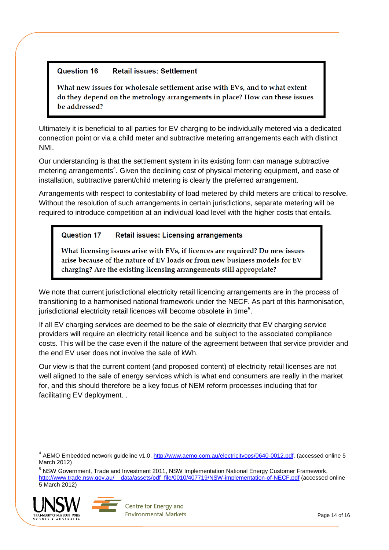#### Question 16 **Retail issues: Settlement**

What new issues for wholesale settlement arise with EVs, and to what extent do they depend on the metrology arrangements in place? How can these issues be addressed?

Ultimately it is beneficial to all parties for EV charging to be individually metered via a dedicated connection point or via a child meter and subtractive metering arrangements each with distinct NMI.

Our understanding is that the settlement system in its existing form can manage subtractive metering arrangements<sup>4</sup>. Given the declining cost of physical metering equipment, and ease of installation, subtractive parent/child metering is clearly the preferred arrangement.

Arrangements with respect to contestability of load metered by child meters are critical to resolve. Without the resolution of such arrangements in certain jurisdictions, separate metering will be required to introduce competition at an individual load level with the higher costs that entails.

#### Question 17 Retail issues: Licensing arrangements

What licensing issues arise with EVs, if licences are required? Do new issues arise because of the nature of EV loads or from new business models for EV charging? Are the existing licensing arrangements still appropriate?

We note that current jurisdictional electricity retail licencing arrangements are in the process of transitioning to a harmonised national framework under the NECF. As part of this harmonisation, jurisdictional electricity retail licences will become obsolete in time<sup>5</sup>.

If all EV charging services are deemed to be the sale of electricity that EV charging service providers will require an electricity retail licence and be subject to the associated compliance costs. This will be the case even if the nature of the agreement between that service provider and the end EV user does not involve the sale of kWh.

Our view is that the current content (and proposed content) of electricity retail licenses are not well aligned to the sale of energy services which is what end consumers are really in the market for, and this should therefore be a key focus of NEM reform processes including that for facilitating EV deployment. .

<sup>5</sup> NSW Government, Trade and Investment 2011, NSW Implementation National Energy Customer Framework, [http://www.trade.nsw.gov.au/\\_\\_data/assets/pdf\\_file/0010/407719/NSW-implementation-of-NECF.pdf](http://www.trade.nsw.gov.au/__data/assets/pdf_file/0010/407719/NSW-implementation-of-NECF.pdf) (accessed online 5 March 2012)





<sup>&</sup>lt;sup>4</sup> AEMO Embedded network guideline v1.0, [http://www.aemo.com.au/electricityops/0640-0012.pdf,](http://www.aemo.com.au/electricityops/0640-0012.pdf) (accessed online 5 March 2012)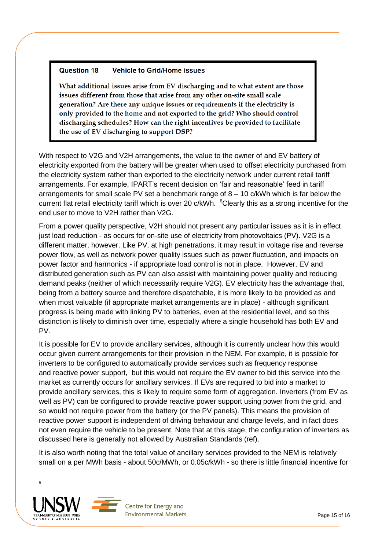#### Question 18 **Vehicle to Grid/Home issues**

What additional issues arise from EV discharging and to what extent are those issues different from those that arise from any other on-site small scale generation? Are there any unique issues or requirements if the electricity is only provided to the home and not exported to the grid? Who should control discharging schedules? How can the right incentives be provided to facilitate the use of EV discharging to support DSP?

With respect to V2G and V2H arrangements, the value to the owner of and EV battery of electricity exported from the battery will be greater when used to offset electricity purchased from the electricity system rather than exported to the electricity network under current retail tariff arrangements. For example, IPART's recent decision on 'fair and reasonable' feed in tariff arrangements for small scale PV set a benchmark range of  $8 - 10$  c/kWh which is far below the current flat retail electricity tariff which is over 20 c/kWh. <sup>6</sup>Clearly this as a strong incentive for the end user to move to V2H rather than V2G.

From a power quality perspective, V2H should not present any particular issues as it is in effect just load reduction - as occurs for on-site use of electricity from photovoltaics (PV). V2G is a different matter, however. Like PV, at high penetrations, it may result in voltage rise and reverse power flow, as well as network power quality issues such as power fluctuation, and impacts on power factor and harmonics - if appropriate load control is not in place. However, EV and distributed generation such as PV can also assist with maintaining power quality and reducing demand peaks (neither of which necessarily require V2G). EV electricity has the advantage that, being from a battery source and therefore dispatchable, it is more likely to be provided as and when most valuable (if appropriate market arrangements are in place) - although significant progress is being made with linking PV to batteries, even at the residential level, and so this distinction is likely to diminish over time, especially where a single household has both EV and PV.

It is possible for EV to provide ancillary services, although it is currently unclear how this would occur given current arrangements for their provision in the NEM. For example, it is possible for inverters to be configured to automatically provide services such as frequency response and reactive power support, but this would not require the EV owner to bid this service into the market as currently occurs for ancillary services. If EVs are required to bid into a market to provide ancillary services, this is likely to require some form of aggregation. Inverters (from EV as well as PV) can be configured to provide reactive power support using power from the grid, and so would not require power from the battery (or the PV panels). This means the provision of reactive power support is independent of driving behaviour and charge levels, and in fact does not even require the vehicle to be present. Note that at this stage, the configuration of inverters as discussed here is generally not allowed by Australian Standards (ref).

It is also worth noting that the total value of ancillary services provided to the NEM is relatively small on a per MWh basis - about 50c/MWh, or 0.05c/kWh - so there is little financial incentive for

 6